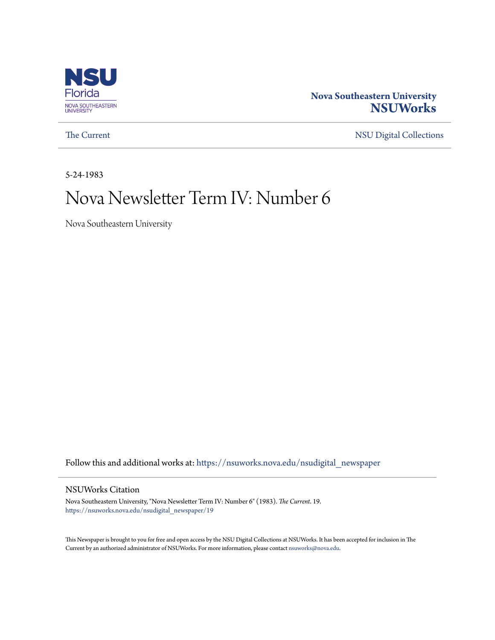

# **Nova Southeastern University [NSUWorks](https://nsuworks.nova.edu?utm_source=nsuworks.nova.edu%2Fnsudigital_newspaper%2F19&utm_medium=PDF&utm_campaign=PDFCoverPages)**

[The Current](https://nsuworks.nova.edu/nsudigital_newspaper?utm_source=nsuworks.nova.edu%2Fnsudigital_newspaper%2F19&utm_medium=PDF&utm_campaign=PDFCoverPages) [NSU Digital Collections](https://nsuworks.nova.edu/nsudigital?utm_source=nsuworks.nova.edu%2Fnsudigital_newspaper%2F19&utm_medium=PDF&utm_campaign=PDFCoverPages)

5-24-1983

# Nova Newsletter Term IV: Number 6

Nova Southeastern University

Follow this and additional works at: [https://nsuworks.nova.edu/nsudigital\\_newspaper](https://nsuworks.nova.edu/nsudigital_newspaper?utm_source=nsuworks.nova.edu%2Fnsudigital_newspaper%2F19&utm_medium=PDF&utm_campaign=PDFCoverPages)

### NSUWorks Citation

Nova Southeastern University, "Nova Newsletter Term IV: Number 6" (1983). *The Current*. 19. [https://nsuworks.nova.edu/nsudigital\\_newspaper/19](https://nsuworks.nova.edu/nsudigital_newspaper/19?utm_source=nsuworks.nova.edu%2Fnsudigital_newspaper%2F19&utm_medium=PDF&utm_campaign=PDFCoverPages)

This Newspaper is brought to you for free and open access by the NSU Digital Collections at NSUWorks. It has been accepted for inclusion in The Current by an authorized administrator of NSUWorks. For more information, please contact [nsuworks@nova.edu.](mailto:nsuworks@nova.edu)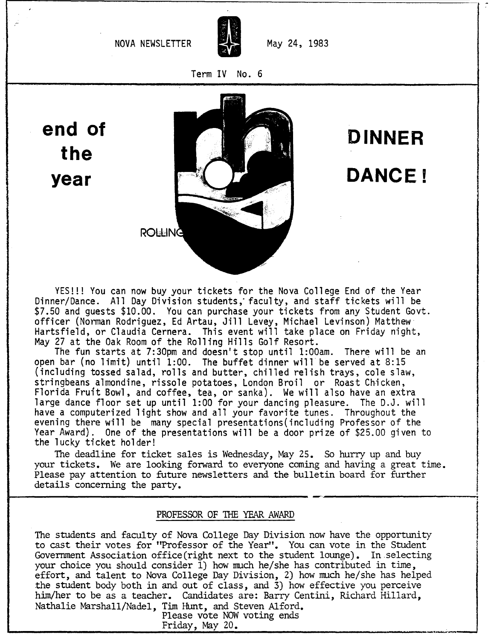

Term IV No. 6

**end of the year**



**DINNER DANCE!**

YES!!! You can now buy your tickets for the Nova College End of the Year Dinner/Dance. All Day Division students; faculty, and staff tickets will be \$7.50 and guests \$10.00. You can purchase your tickets from any Student Govt. officer (Norman Rodriguez, Ed Artau, Jill Levey, Michael Levinson) Matthew Hartsfield, or Claudia Cernera. This event will take place on Friday night, May 27 at the Oak Room of the Rolling Hills Golf Resort.

The fun starts at 7:30pm and doesn't stop until 1:00am. There will be an open bar (no limit) until 1:00. The buffet dinner will be served at 8:15 (including tossed salad, rolls and butter, chilled relish trays, cole slaw, stringbeans almondine, rissole potatoes, London Broil or Roast Chicken, Florida Fruit Bowl, and coffee, tea, or sanka). We will also have an extra large dance floor set up until 1:00 for your dancing pleasure. The D.J. will have a computerized light show and all your favorite tunes. Throughout the evening there will be many special presentations(including Professor of the Year Award). One of the presentations will be a door prize of \$25.00 given to the lucky ticket holder!

The deadline for ticket sales is Wednesday, May 25. So hurry up and buy your tickets. We are looking forward to everyone coming and having a great time. Please pay attention to future newsletters and the bulletin board for further details concerning the party.

#### PROFESSOR OF THE YEAR AWARD

The students and faculty of Nova College Day Division now have the opportunity to cast their votes for "Professor of the Year". You can vote in the Student Government Association office(right next to the student lounge). In.selecting your choice you should consider  $\overline{1}$ ) how much he/she has contributed in time, effort, and talent to Nova College Day Division, 2) how much he/she has helped the student body both in and out of class, and 3) how effective you perceive him/her to be as a teacher. Candidates are: Barry Centini, Richard Hillard, Nathalie Marshall/Nadel, Tim Hunt, and Steven Alford.

Please vote NOW voting ends<br>Friday, May 20.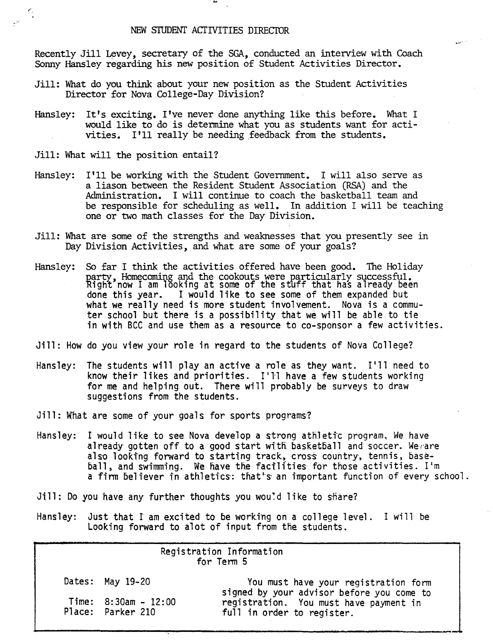Recently Jill Levey, secretary of the SGA, conducted an interview with Coach Sonny Hansley regarding his new position of Student Activities Director.

.....'.,

- Jill: What do you think about your new position as the Student Activities Director for Nova College-Day Division?
- Hansley: It's exciting. I've never done anything like this before. What I would like to do is detennine what you as students want for activities. I'll really be needing feedback from the students.
- Jill: What will the position entail?

#

- Hansley: I'll be working with the Student Government. <sup>I</sup> will also serve as a liason between the Resident Student Association (RSA) and the Administration. I will continue to coach the basketball team and be responsible for scheduling as well. In addition I will be teaching one or two math classes for the Day Division.
- Jill: What are some of the strengths and weaknesses that you presently see in Day Division Activities, and what are some of your goals?
- Hansley: So far I think the activities offered have been good. The Holiday party, Homecoming and the cookouts were particularly successful.<br>Right now I am looking at some of the stuff that has already been<br>done this year. I would like to see some of them expanded but I would like to see some of them expanded but what we really need is more student involvement. Nova is a commuter school but there is a possibility that we will be able to tie in with BCC and use them as a resource to co-sponsor a few activities.
- Jill: How do you view your role in regard to the students of Nova College?
- Hansley: The students will play an active a role as they want. I'll need to know their likes and priorities. I'll have a few students working for me and helping out. There will probably be surveys to draw suggestions from the students.
- Jill: What are some of your goals for sports programs?
- Hansley: I would like to see Nova develop a strong athletic program. We have already gotten off to a good start with basketball and soccer. We are also looking forward to starting track, cross country, tennis, baseball, and swimming. We have the facilities for those activities. I'm a firm believer in athletics: that's an important function of every school.
- Jill: Do you have any further thoughts you would like to share?
- Hansley: Just that I am excited to be working on a college level. I will be Looking forward to alot of input from the students.

| Registration Information<br>for Term 5 |                                             |                                                                                   |
|----------------------------------------|---------------------------------------------|-----------------------------------------------------------------------------------|
|                                        | Dates: May 19-20                            | You must have your registration form<br>signed by your advisor before you come to |
|                                        | Time: $8:30am - 12:00$<br>Place: Parker 210 | registration. You must have payment in<br>full in order to register.              |